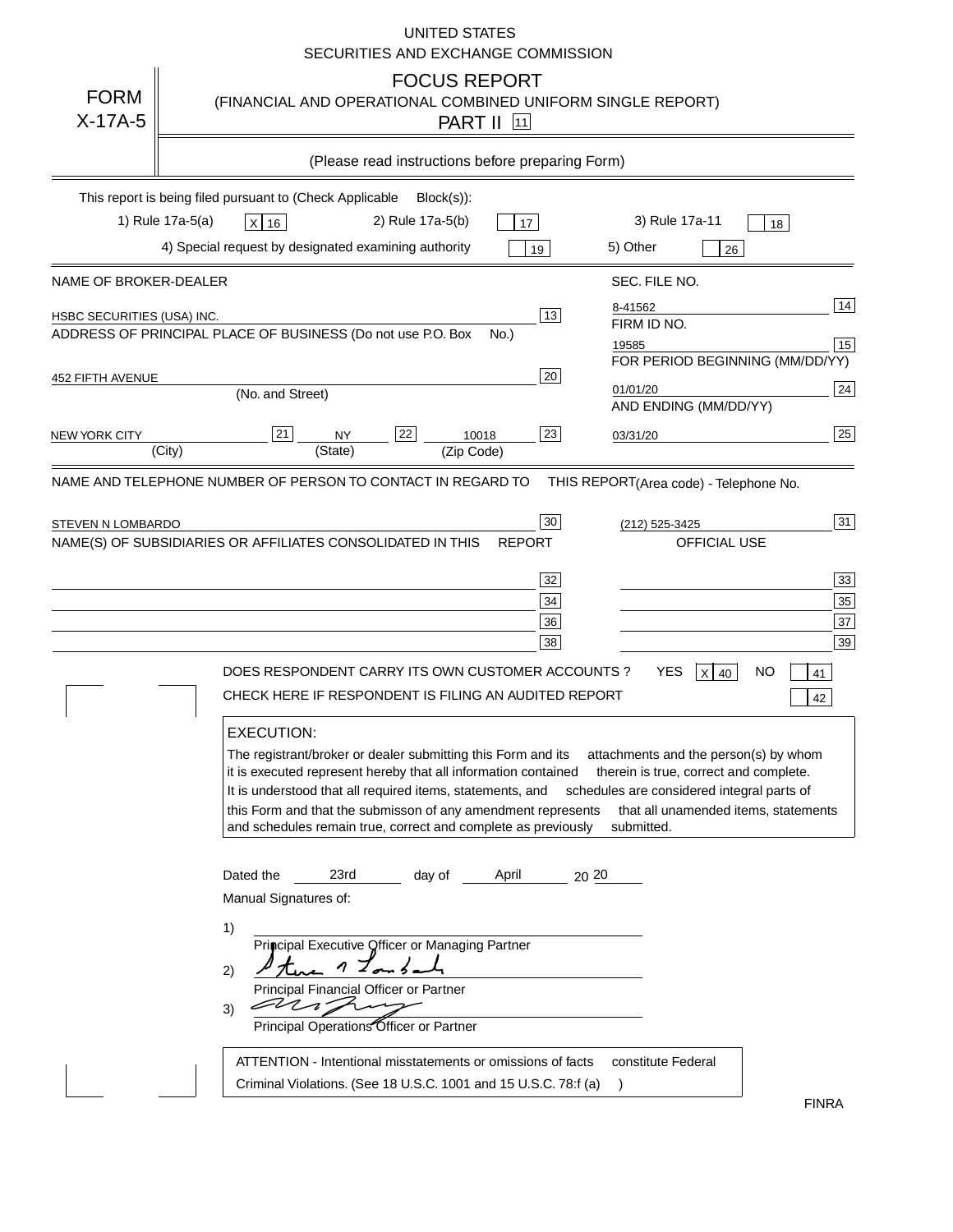## UNITED STATES SECURITIES AND EXCHANGE COMMISSION

| <b>FORM</b><br>$X-17A-5$   | <b>FOCUS REPORT</b><br>(FINANCIAL AND OPERATIONAL COMBINED UNIFORM SINGLE REPORT)<br><b>PART II</b> 11                                                                                                                                                                                                                                                                                                                                                                                                                                                                                                                 |                                                                                                                                                                                                                                                                                |
|----------------------------|------------------------------------------------------------------------------------------------------------------------------------------------------------------------------------------------------------------------------------------------------------------------------------------------------------------------------------------------------------------------------------------------------------------------------------------------------------------------------------------------------------------------------------------------------------------------------------------------------------------------|--------------------------------------------------------------------------------------------------------------------------------------------------------------------------------------------------------------------------------------------------------------------------------|
|                            | (Please read instructions before preparing Form)                                                                                                                                                                                                                                                                                                                                                                                                                                                                                                                                                                       |                                                                                                                                                                                                                                                                                |
|                            | This report is being filed pursuant to (Check Applicable<br>$Block(s)$ :<br>1) Rule 17a-5(a)<br>2) Rule 17a-5(b)<br>X 16<br>17<br>4) Special request by designated examining authority<br>19                                                                                                                                                                                                                                                                                                                                                                                                                           | 3) Rule 17a-11<br>18<br>5) Other<br>26                                                                                                                                                                                                                                         |
| NAME OF BROKER-DEALER      |                                                                                                                                                                                                                                                                                                                                                                                                                                                                                                                                                                                                                        | SEC. FILE NO.                                                                                                                                                                                                                                                                  |
| HSBC SECURITIES (USA) INC. | 13 <br>ADDRESS OF PRINCIPAL PLACE OF BUSINESS (Do not use P.O. Box<br>No.)                                                                                                                                                                                                                                                                                                                                                                                                                                                                                                                                             | 14<br>8-41562<br>FIRM ID NO.<br>15<br>19585<br>FOR PERIOD BEGINNING (MM/DD/YY)                                                                                                                                                                                                 |
| 452 FIFTH AVENUE           | 20<br>(No. and Street)                                                                                                                                                                                                                                                                                                                                                                                                                                                                                                                                                                                                 | $\overline{24}$<br>01/01/20                                                                                                                                                                                                                                                    |
| NEW YORK CITY              | 21<br>22<br>23<br><b>NY</b><br>10018<br>(City)<br>(State)<br>(Zip Code)                                                                                                                                                                                                                                                                                                                                                                                                                                                                                                                                                | AND ENDING (MM/DD/YY)<br>25<br>03/31/20                                                                                                                                                                                                                                        |
|                            | NAME AND TELEPHONE NUMBER OF PERSON TO CONTACT IN REGARD TO                                                                                                                                                                                                                                                                                                                                                                                                                                                                                                                                                            | THIS REPORT(Area code) - Telephone No.                                                                                                                                                                                                                                         |
| STEVEN N LOMBARDO          | 30<br>NAME(S) OF SUBSIDIARIES OR AFFILIATES CONSOLIDATED IN THIS<br><b>REPORT</b><br>32<br>$34\,$<br>36<br>38<br>DOES RESPONDENT CARRY ITS OWN CUSTOMER ACCOUNTS ?<br>CHECK HERE IF RESPONDENT IS FILING AN AUDITED REPORT<br><b>EXECUTION:</b><br>The registrant/broker or dealer submitting this Form and its<br>it is executed represent hereby that all information contained therein is true, correct and complete.<br>It is understood that all required items, statements, and<br>this Form and that the submisson of any amendment represents<br>and schedules remain true, correct and complete as previously | 31<br>(212) 525-3425<br>OFFICIAL USE<br>33 <sup>°</sup><br>$\overline{35}$<br>37<br>39<br><b>YES</b><br>$X$ 40<br>NO.<br>41<br>42<br>attachments and the person(s) by whom<br>schedules are considered integral parts of<br>that all unamended items, statements<br>submitted. |
|                            | Dated the<br>23rd<br>day of<br>April<br>20 20<br>Manual Signatures of:<br>1)<br>Principal Executive Officer or Managing Partner<br>n<br>2)<br>Principal Financial Officer or Partner<br>EUN<br>3)<br>Principal Operations Officer or Partner<br>ATTENTION - Intentional misstatements or omissions of facts<br>Criminal Violations. (See 18 U.S.C. 1001 and 15 U.S.C. 78:f (a)                                                                                                                                                                                                                                         | constitute Federal<br>$\lambda$<br><b>FINRA</b>                                                                                                                                                                                                                                |

FINRA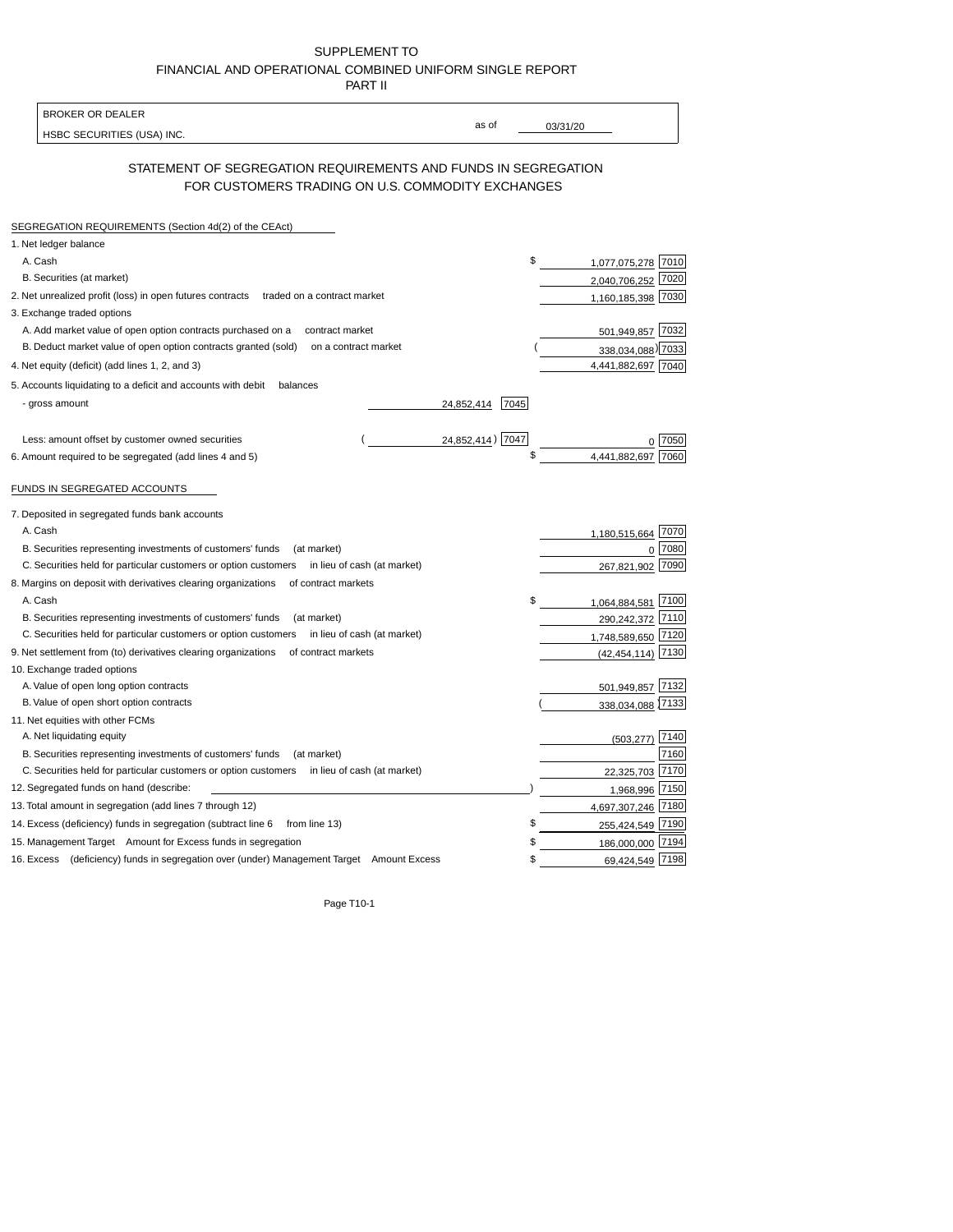| SUPPLEMENT TO                                            |
|----------------------------------------------------------|
| FINANCIAL AND OPERATIONAL COMBINED UNIFORM SINGLE REPORT |
| <b>PART II</b>                                           |

| <b>BROKER OR DEALER</b>                                                                                             |                           |
|---------------------------------------------------------------------------------------------------------------------|---------------------------|
| HSBC SECURITIES (USA) INC.                                                                                          | as of<br>03/31/20         |
|                                                                                                                     |                           |
| STATEMENT OF SEGREGATION REQUIREMENTS AND FUNDS IN SEGREGATION<br>FOR CUSTOMERS TRADING ON U.S. COMMODITY EXCHANGES |                           |
|                                                                                                                     |                           |
| SEGREGATION REQUIREMENTS (Section 4d(2) of the CEAct)                                                               |                           |
| 1. Net ledger balance                                                                                               |                           |
| A. Cash                                                                                                             | \$<br>1,077,075,278 7010  |
| B. Securities (at market)                                                                                           | 7020<br>2,040,706,252     |
| 2. Net unrealized profit (loss) in open futures contracts<br>traded on a contract market                            | 1,160,185,398 7030        |
| 3. Exchange traded options                                                                                          |                           |
| A. Add market value of open option contracts purchased on a<br>contract market                                      | 501,949,857 7032          |
| B. Deduct market value of open option contracts granted (sold)<br>on a contract market                              | 338,034,088) 7033         |
| 4. Net equity (deficit) (add lines 1, 2, and 3)                                                                     | 4,441,882,697 7040        |
| 5. Accounts liquidating to a deficit and accounts with debit<br>balances                                            |                           |
| - gross amount<br>24,852,414                                                                                        | 7045                      |
|                                                                                                                     |                           |
| Less: amount offset by customer owned securities                                                                    | 24,852,414) 7047<br>7050  |
| 6. Amount required to be segregated (add lines 4 and 5)                                                             | \$<br>4,441,882,697       |
|                                                                                                                     |                           |
| FUNDS IN SEGREGATED ACCOUNTS                                                                                        |                           |
| 7. Deposited in segregated funds bank accounts                                                                      |                           |
| A. Cash                                                                                                             | 7070                      |
| B. Securities representing investments of customers' funds<br>(at market)                                           | 1,180,515,664<br>7080     |
| C. Securities held for particular customers or option customers<br>in lieu of cash (at market)                      | $\mathbf 0$<br>7090       |
|                                                                                                                     | 267,821,902               |
| 8. Margins on deposit with derivatives clearing organizations<br>of contract markets                                |                           |
| A. Cash                                                                                                             | 7100<br>1,064,884,581     |
| B. Securities representing investments of customers' funds<br>(at market)                                           | 290,242,372 7110          |
| C. Securities held for particular customers or option customers<br>in lieu of cash (at market)                      | 1,748,589,650 7120        |
| 9. Net settlement from (to) derivatives clearing organizations<br>of contract markets                               | 7130<br>(42, 454, 114)    |
| 10. Exchange traded options                                                                                         |                           |
| A. Value of open long option contracts                                                                              | 501,949,857 7132          |
| B. Value of open short option contracts                                                                             | 338,034,088 7133          |
| 11. Net equities with other FCMs                                                                                    |                           |
| A. Net liquidating equity                                                                                           | 7140<br>(503, 277)        |
| B. Securities representing investments of customers' funds<br>(at market)                                           | 7160                      |
| C. Securities held for particular customers or option customers<br>in lieu of cash (at market)                      | 7170<br>22,325,703        |
| 12. Segregated funds on hand (describe:                                                                             | 1,968,996<br>7150         |
| 13. Total amount in segregation (add lines 7 through 12)                                                            | 4,697,307,246 7180        |
| 14. Excess (deficiency) funds in segregation (subtract line 6 from line 13)                                         | \$<br>255,424,549 7190    |
| 15. Management Target Amount for Excess funds in segregation                                                        | \$<br>186,000,000<br>7194 |
| 16. Excess (deficiency) funds in segregation over (under) Management Target Amount Excess                           | 69,424,549 7198<br>\$     |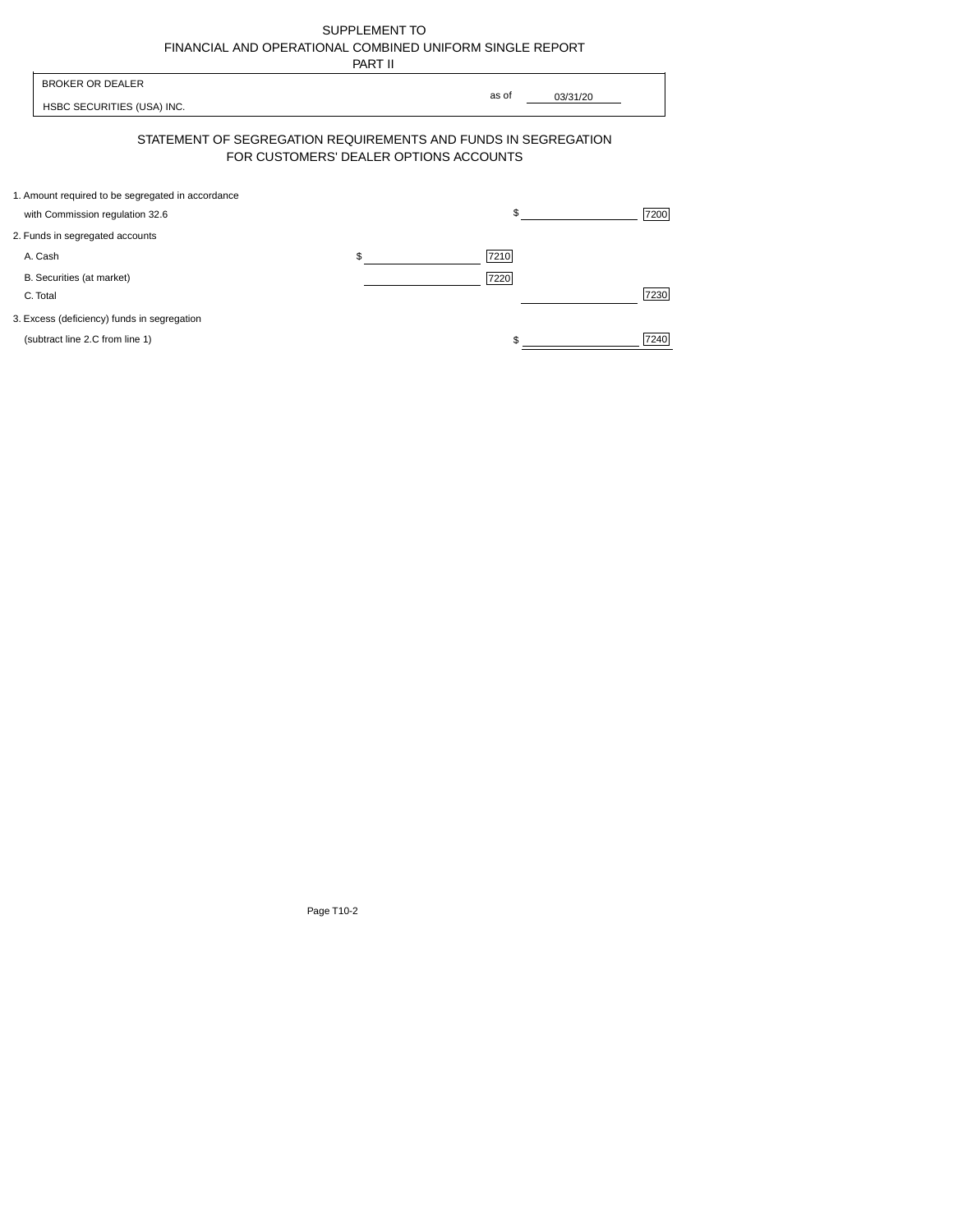| SUPPLEMENT TO                                            |
|----------------------------------------------------------|
| FINANCIAL AND OPERATIONAL COMBINED UNIFORM SINGLE REPORT |
| -----                                                    |

|                                                                                      | PART II                                                                                                  |      |
|--------------------------------------------------------------------------------------|----------------------------------------------------------------------------------------------------------|------|
| <b>BROKER OR DEALER</b><br>HSBC SECURITIES (USA) INC.                                | as of<br>03/31/20                                                                                        |      |
|                                                                                      | STATEMENT OF SEGREGATION REQUIREMENTS AND FUNDS IN SEGREGATION<br>FOR CUSTOMERS' DEALER OPTIONS ACCOUNTS |      |
| 1. Amount required to be segregated in accordance<br>with Commission regulation 32.6 | \$                                                                                                       | 7200 |
| 2. Funds in segregated accounts                                                      |                                                                                                          |      |
| A. Cash                                                                              | 7210<br>\$                                                                                               |      |
| B. Securities (at market)<br>C. Total                                                | 7220                                                                                                     | 7230 |
| 3. Excess (deficiency) funds in segregation                                          |                                                                                                          |      |
| (subtract line 2.C from line 1)                                                      |                                                                                                          | 7240 |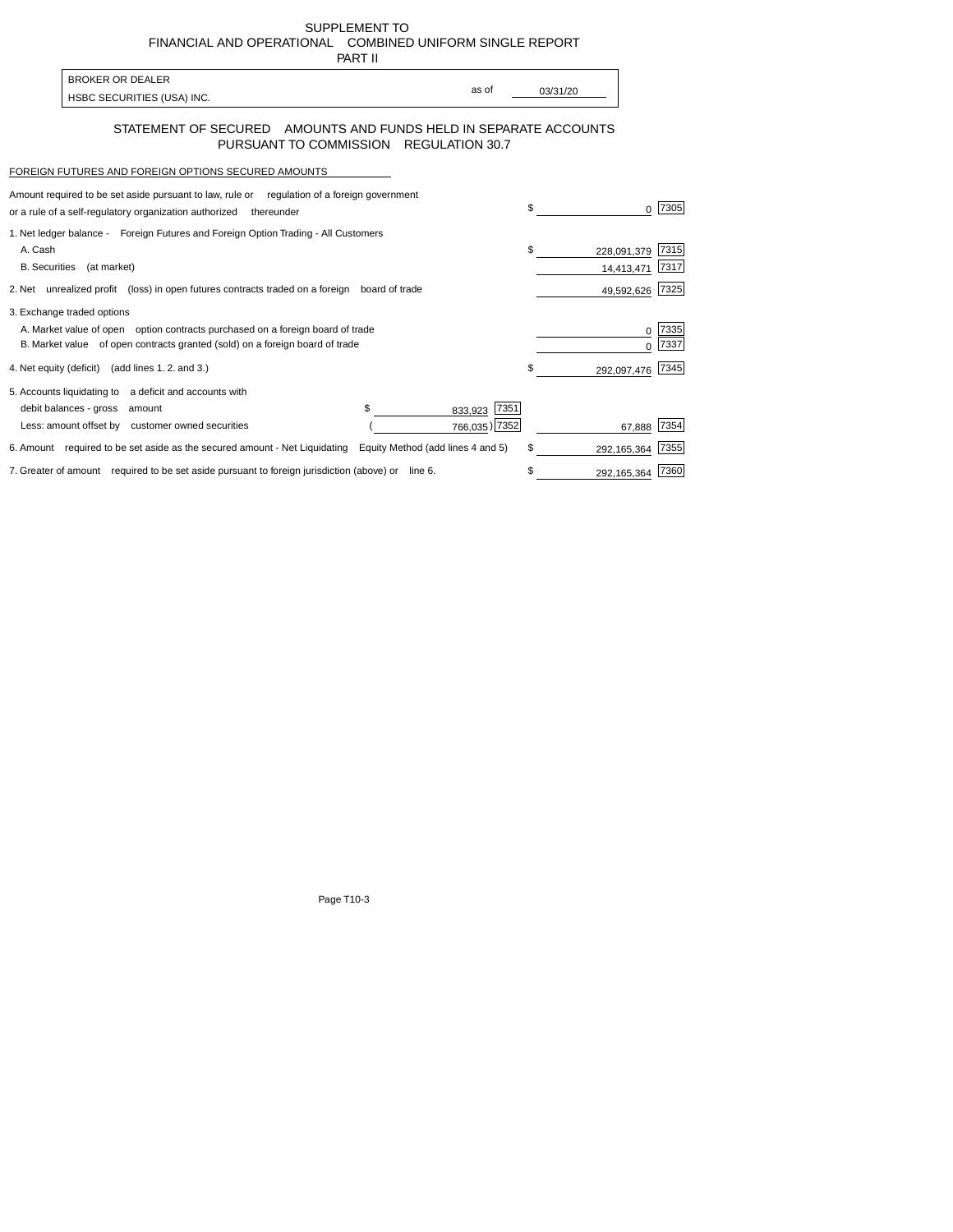SUPPLEMENT TO FINANCIALAND OPERATIONAL COMBINED UNIFORM SINGLE REPORT

| ı<br>ı<br> |
|------------|
|            |

| <b>BROKER OR DEALER</b>    |       |          |
|----------------------------|-------|----------|
| HSBC SECURITIES (USA) INC. | as of | 03/31/20 |

## STATEMENT OF SECURED AMOUNTS AND FUNDS HELD IN SEPARATE ACCOUNTS PURSUANT TO COMMISSION REGULATION 30.7

## FOREIGN FUTURES AND FOREIGN OPTIONS SECURED AMOUNTS

| Amount required to be set aside pursuant to law, rule or regulation of a foreign government |                                   | \$              |                   |      |
|---------------------------------------------------------------------------------------------|-----------------------------------|-----------------|-------------------|------|
| or a rule of a self-regulatory organization authorized<br>thereunder                        |                                   |                 |                   | 7305 |
| 1. Net ledger balance - Foreign Futures and Foreign Option Trading - All Customers          |                                   |                 |                   |      |
| A. Cash                                                                                     |                                   | \$              | 228,091,379       | 7315 |
| <b>B.</b> Securities<br>(at market)                                                         |                                   |                 | 14,413,471        | 7317 |
| 2. Net unrealized profit (loss) in open futures contracts traded on a foreign               | board of trade                    |                 | 49,592,626        | 7325 |
| 3. Exchange traded options                                                                  |                                   |                 |                   |      |
| A. Market value of open option contracts purchased on a foreign board of trade              |                                   |                 |                   | 7335 |
| B. Market value of open contracts granted (sold) on a foreign board of trade                |                                   |                 |                   | 7337 |
| 4. Net equity (deficit) (add lines 1.2. and 3.)                                             |                                   |                 | \$<br>292,097,476 | 7345 |
| 5. Accounts liquidating to a deficit and accounts with                                      |                                   |                 |                   |      |
| debit balances - gross<br>amount                                                            | \$.                               | 7351<br>833,923 |                   |      |
| Less: amount offset by customer owned securities                                            |                                   | 766,035) 7352   | 67,888            | 7354 |
| 6. Amount required to be set aside as the secured amount - Net Liquidating                  | Equity Method (add lines 4 and 5) |                 | \$<br>292,165,364 | 7355 |
| 7. Greater of amount required to be set aside pursuant to foreign jurisdiction (above) or   | line 6.                           |                 | 292,165,364       | 7360 |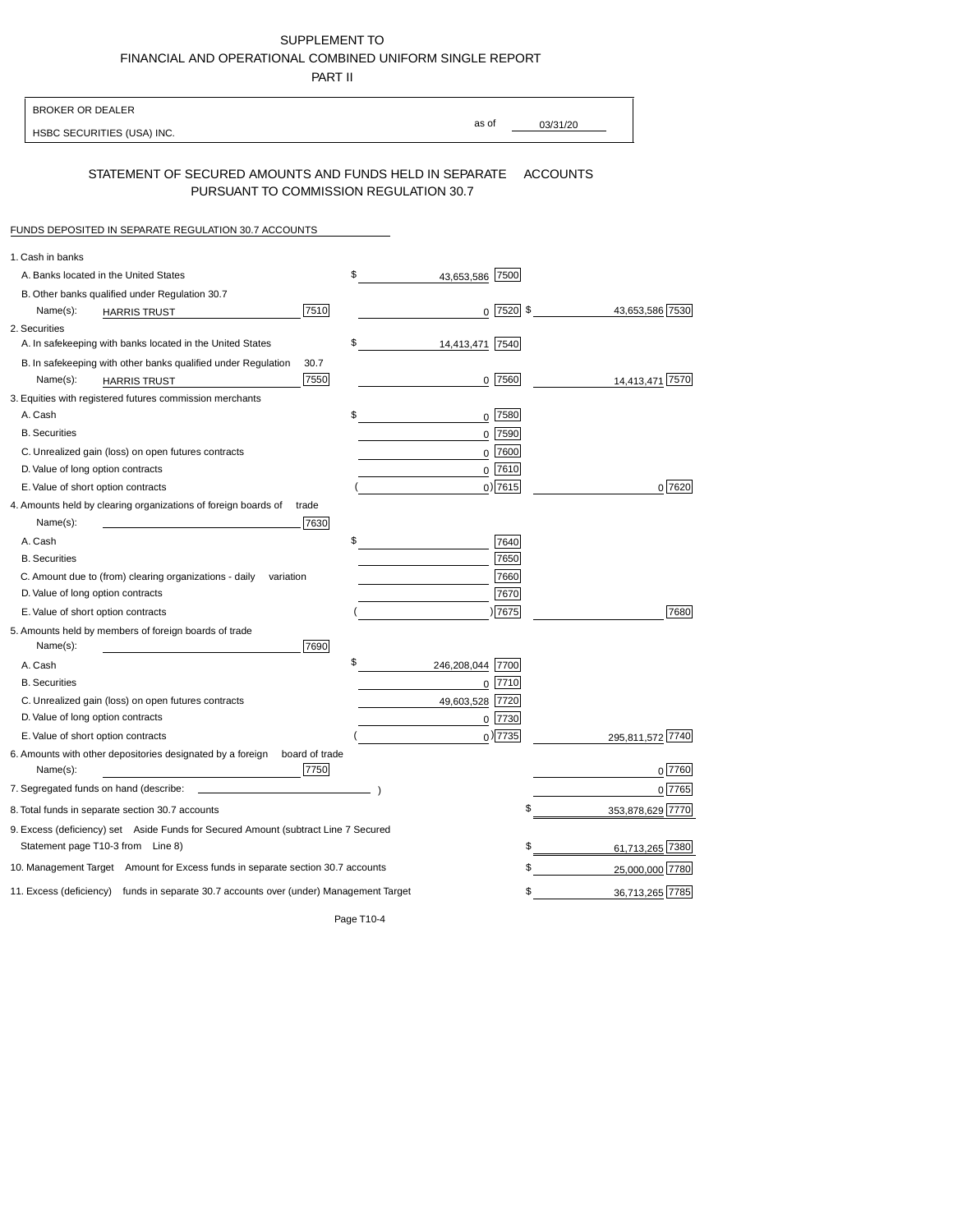## SUPPLEMENT TO FINANCIALAND OPERATIONALCOMBINED UNIFORM SINGLE REPORT

PARTII

| <b>BROKER OR DEALER</b>                                                                           |                        |                                            |
|---------------------------------------------------------------------------------------------------|------------------------|--------------------------------------------|
| HSBC SECURITIES (USA) INC.                                                                        | as of                  | 03/31/20                                   |
| STATEMENT OF SECURED AMOUNTS AND FUNDS HELD IN SEPARATE<br>PURSUANT TO COMMISSION REGULATION 30.7 |                        | <b>ACCOUNTS</b>                            |
| FUNDS DEPOSITED IN SEPARATE REGULATION 30.7 ACCOUNTS                                              |                        |                                            |
| 1. Cash in banks                                                                                  |                        |                                            |
| A. Banks located in the United States                                                             | \$<br>43,653,586 7500  |                                            |
| B. Other banks qualified under Regulation 30.7                                                    |                        |                                            |
| 7510<br>Name(s):<br><b>HARRIS TRUST</b>                                                           |                        | $0\ \overline{7520}$ \$<br>43,653,586 7530 |
| 2. Securities                                                                                     |                        |                                            |
| A. In safekeeping with banks located in the United States                                         | \$<br>14,413,471 7540  |                                            |
| B. In safekeeping with other banks qualified under Regulation<br>30.7                             |                        |                                            |
| 7550<br>Name(s):<br><b>HARRIS TRUST</b>                                                           | 0 7560                 | 14,413,471 7570                            |
| 3. Equities with registered futures commission merchants                                          |                        |                                            |
| A. Cash                                                                                           | \$<br>0 7580           |                                            |
| <b>B.</b> Securities                                                                              | 7590<br>0              |                                            |
| C. Unrealized gain (loss) on open futures contracts                                               | 0                      | 7600                                       |
| D. Value of long option contracts                                                                 | 0                      | 7610                                       |
| E. Value of short option contracts                                                                | $0)$ 7615              | 0 7620                                     |
| 4. Amounts held by clearing organizations of foreign boards of<br>trade                           |                        |                                            |
| 7630<br>Name(s):                                                                                  |                        |                                            |
| A. Cash                                                                                           | \$                     | 7640                                       |
| <b>B.</b> Securities                                                                              |                        | 7650                                       |
| C. Amount due to (from) clearing organizations - daily<br>variation                               |                        | 7660                                       |
| D. Value of long option contracts                                                                 |                        | 7670                                       |
| E. Value of short option contracts                                                                | )7675                  | 7680                                       |
| 5. Amounts held by members of foreign boards of trade<br>Name(s):<br>7690                         |                        |                                            |
| A. Cash                                                                                           | \$<br>246,208,044 7700 |                                            |
| <b>B.</b> Securities                                                                              | 0 7710                 |                                            |
| C. Unrealized gain (loss) on open futures contracts                                               | 49,603,528 7720        |                                            |
| D. Value of long option contracts                                                                 | 0 7730                 |                                            |
| E. Value of short option contracts                                                                | $0$ ) 7735             | 295,811,572                                |
| 6. Amounts with other depositories designated by a foreign<br>board of trade<br>7750<br>Name(s):  |                        | 7760                                       |
| 7. Segregated funds on hand (describe:                                                            |                        | $0$ [7765]                                 |
| 8. Total funds in separate section 30.7 accounts                                                  |                        | \$<br>353.878.629 7770                     |
| 9. Excess (deficiency) set Aside Funds for Secured Amount (subtract Line 7 Secured                |                        |                                            |
| Statement page T10-3 from Line 8)                                                                 |                        | \$<br>61,713,265 7380                      |
| 10. Management Target Amount for Excess funds in separate section 30.7 accounts                   |                        | 25,000,000 7780<br>\$                      |
| 11. Excess (deficiency) funds in separate 30.7 accounts over (under) Management Target            |                        | 36,713,265 7785<br>\$                      |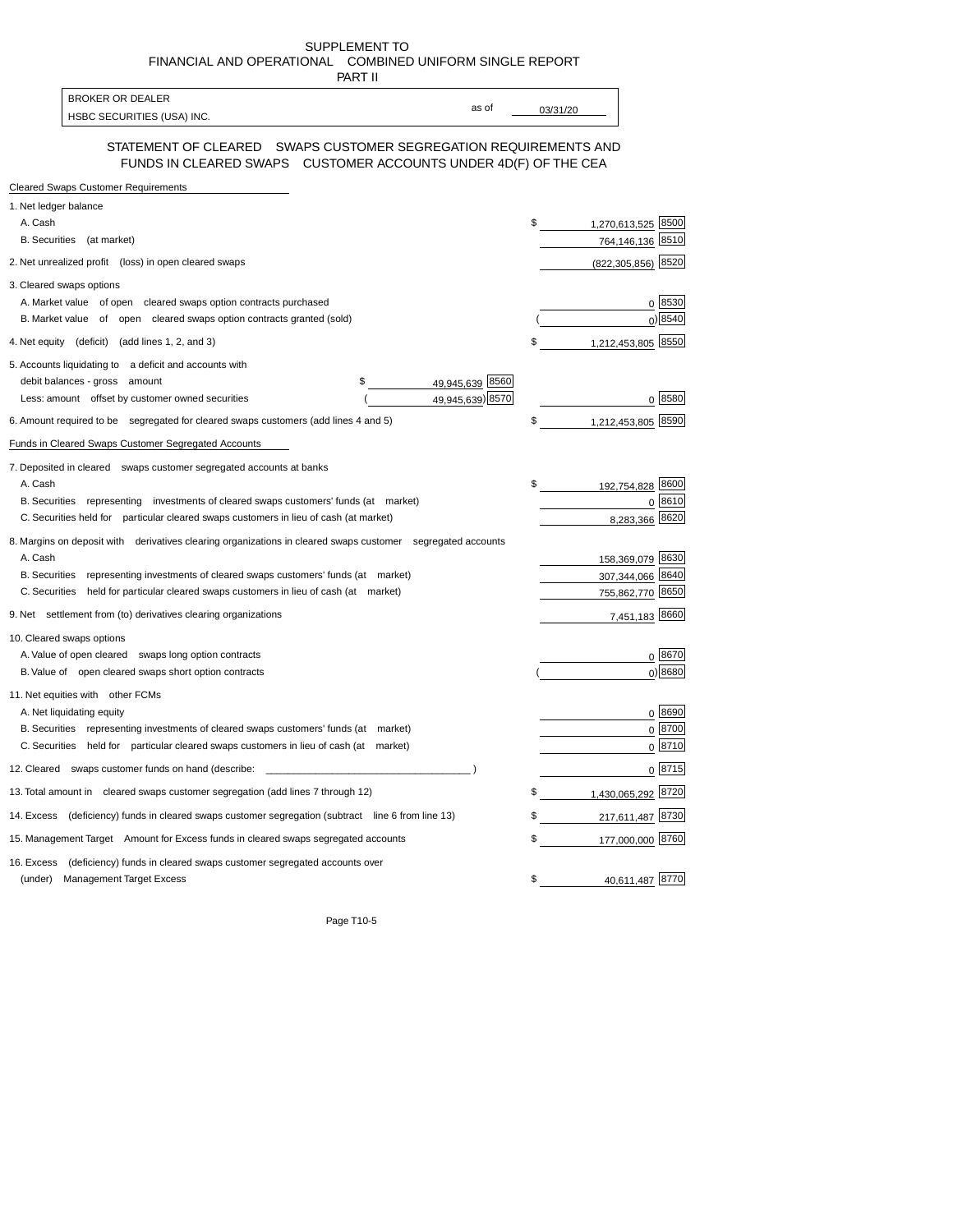SUPPLEMENT TO FINANCIALAND OPERATIONAL COMBINED UNIFORM SINGLE REPORT

| PART II                                                                                                                             |          |                        |
|-------------------------------------------------------------------------------------------------------------------------------------|----------|------------------------|
| <b>BROKER OR DEALER</b><br>as of                                                                                                    |          |                        |
| HSBC SECURITIES (USA) INC.                                                                                                          | 03/31/20 |                        |
| STATEMENT OF CLEARED SWAPS CUSTOMER SEGREGATION REQUIREMENTS AND<br>FUNDS IN CLEARED SWAPS CUSTOMER ACCOUNTS UNDER 4D(F) OF THE CEA |          |                        |
| <b>Cleared Swaps Customer Requirements</b>                                                                                          |          |                        |
| 1. Net ledger balance                                                                                                               |          |                        |
| A. Cash                                                                                                                             | \$       | 1,270,613,525 8500     |
| B. Securities (at market)                                                                                                           |          | 764,146,136 8510       |
| 2. Net unrealized profit (loss) in open cleared swaps                                                                               |          | $(822, 305, 856)$ 8520 |
| 3. Cleared swaps options                                                                                                            |          |                        |
| A. Market value of open cleared swaps option contracts purchased                                                                    |          | 0 8530                 |
| B. Market value of open cleared swaps option contracts granted (sold)                                                               |          | 0 8540                 |
| 4. Net equity (deficit) (add lines 1, 2, and 3)                                                                                     | \$       | 1,212,453,805 8550     |
| 5. Accounts liquidating to a deficit and accounts with                                                                              |          |                        |
| 49,945,639 8560<br>debit balances - gross amount<br>\$                                                                              |          |                        |
| 49,945,639) 8570<br>Less: amount offset by customer owned securities                                                                |          | 0 8580                 |
| 6. Amount required to be segregated for cleared swaps customers (add lines 4 and 5)                                                 | \$       | 1,212,453,805 8590     |
| Funds in Cleared Swaps Customer Segregated Accounts                                                                                 |          |                        |
| 7. Deposited in cleared swaps customer segregated accounts at banks                                                                 |          |                        |
| A. Cash                                                                                                                             | \$       | 192,754,828 8600       |
| B. Securities representing investments of cleared swaps customers' funds (at market)                                                |          | 0 8610                 |
| C. Securities held for particular cleared swaps customers in lieu of cash (at market)                                               |          | 8,283,366 8620         |
| 8. Margins on deposit with derivatives clearing organizations in cleared swaps customer segregated accounts                         |          |                        |
| A. Cash                                                                                                                             |          | 158,369,079 8630       |
| B. Securities representing investments of cleared swaps customers' funds (at market)                                                |          | 307,344,066 8640       |
| C. Securities held for particular cleared swaps customers in lieu of cash (at market)                                               |          | 755,862,770 8650       |
| 9. Net settlement from (to) derivatives clearing organizations                                                                      |          | 7,451,183 8660         |
| 10. Cleared swaps options                                                                                                           |          |                        |
| A. Value of open cleared swaps long option contracts                                                                                |          | 0 8670                 |
| B. Value of open cleared swaps short option contracts                                                                               |          | 0 8680                 |
| 11. Net equities with other FCMs                                                                                                    |          |                        |
| A. Net liquidating equity                                                                                                           |          | 0 8690                 |
| B. Securities representing investments of cleared swaps customers' funds (at market)                                                |          | $0^{8700}$             |
| C. Securities held for particular cleared swaps customers in lieu of cash (at market)                                               |          | 0 8710                 |
| 12. Cleared swaps customer funds on hand (describe:                                                                                 |          | 0 8715                 |
| 13. Total amount in cleared swaps customer segregation (add lines 7 through 12)                                                     | \$       | 1,430,065,292 8720     |
| 14. Excess (deficiency) funds in cleared swaps customer segregation (subtract line 6 from line 13)                                  | \$       | 217,611,487 8730       |
| 15. Management Target Amount for Excess funds in cleared swaps segregated accounts                                                  | \$       | 177,000,000 8760       |
| (deficiency) funds in cleared swaps customer segregated accounts over<br>16. Excess                                                 |          |                        |
| <b>Management Target Excess</b><br>(under)                                                                                          | \$       | 40,611,487 8770        |
|                                                                                                                                     |          |                        |